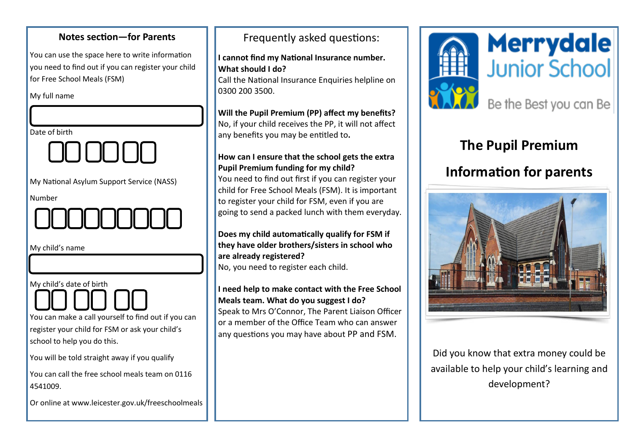## **Notes section—for Parents** You can use the space here to write information you need to find out if you can register your child for Free School Meals (FSM) My full name Date of birth My National Asylum Support Service (NASS) Number My child's name My child's date of birth You can make a call yourself to find out if you can register your child for FSM or ask your child's school to help you do this. You will be told straight away if you qualify You can call the free school meals team on 0116 4541009. Or online at www.leicester.gov.uk/freeschoolmeals

### Frequently asked questions:

**I cannot find my National Insurance number. What should I do?**

Call the National Insurance Enquiries helpline on 0300 200 3500.

### **Will the Pupil Premium (PP) affect my benefits?**

No, if your child receives the PP, it will not affect any benefits you may be entitled to**.**

### **How can I ensure that the school gets the extra Pupil Premium funding for my child?**

You need to find out first if you can register your child for Free School Meals (FSM). It is important to register your child for FSM, even if you are going to send a packed lunch with them everyday.

### **Does my child automatically qualify for FSM if they have older brothers/sisters in school who are already registered?**

No, you need to register each child.

### **I need help to make contact with the Free School Meals team. What do you suggest I do?**

Speak to Mrs O'Connor, The Parent Liaison Officer or a member of the Office Team who can answer any questions you may have about PP and FSM.





# **The Pupil Premium**

### **Information for parents**



Did you know that extra money could be available to help your child's learning and development?